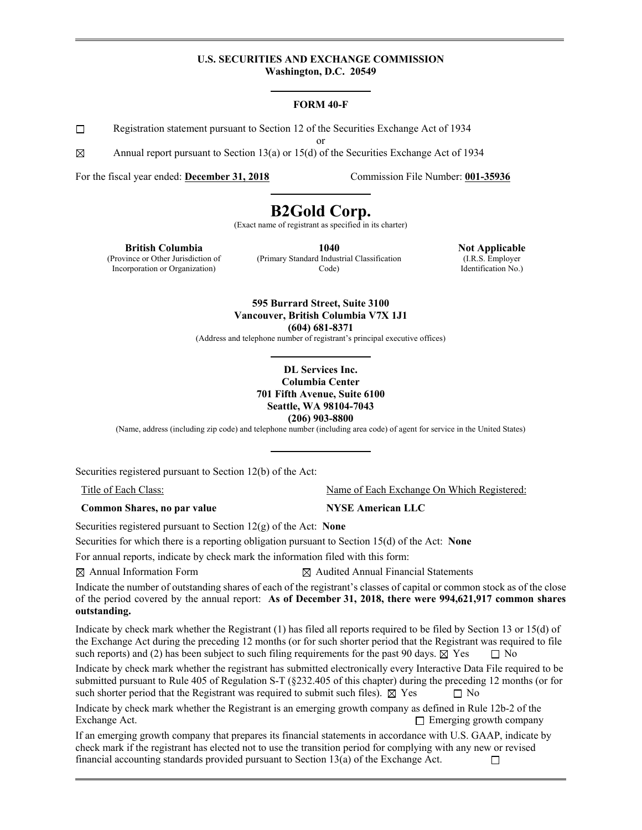#### **U.S. SECURITIES AND EXCHANGE COMMISSION Washington, D.C. 20549**

#### **FORM 40-F**

 $\Box$ Registration statement pursuant to Section 12 of the Securities Exchange Act of 1934

or

⊠ Annual report pursuant to Section 13(a) or 15(d) of the Securities Exchange Act of 1934

For the fiscal year ended: **December 31, 2018** Commission File Number: **001-35936**

# **B2Gold Corp.**

(Exact name of registrant as specified in its charter)

**British Columbia**  (Province or Other Jurisdiction of Incorporation or Organization)

**1040**  (Primary Standard Industrial Classification Code)

**Not Applicable**  (I.R.S. Employer Identification No.)

**595 Burrard Street, Suite 3100 Vancouver, British Columbia V7X 1J1 (604) 681-8371** 

(Address and telephone number of registrant's principal executive offices)

#### **DL Services Inc. Columbia Center 701 Fifth Avenue, Suite 6100 Seattle, WA 98104-7043 (206) 903-8800**

(Name, address (including zip code) and telephone number (including area code) of agent for service in the United States)

Securities registered pursuant to Section 12(b) of the Act:

**Common Shares, no par value MYSE American LLC** 

Title of Each Class: Name of Each Exchange On Which Registered:

Securities registered pursuant to Section 12(g) of the Act: **None** 

Securities for which there is a reporting obligation pursuant to Section 15(d) of the Act: **None** 

For annual reports, indicate by check mark the information filed with this form:

 $\boxtimes$  Annual Information Form  $\boxtimes$  Audited Annual Financial Statements

Indicate the number of outstanding shares of each of the registrant's classes of capital or common stock as of the close of the period covered by the annual report: **As of December 31, 2018, there were 994,621,917 common shares outstanding.** 

Indicate by check mark whether the Registrant (1) has filed all reports required to be filed by Section 13 or 15(d) of the Exchange Act during the preceding 12 months (or for such shorter period that the Registrant was required to file such reports) and (2) has been subject to such filing requirements for the past 90 days.  $\boxtimes$  Yes  $\Box$  No

Indicate by check mark whether the registrant has submitted electronically every Interactive Data File required to be submitted pursuant to Rule 405 of Regulation S-T (§232.405 of this chapter) during the preceding 12 months (or for such shorter period that the Registrant was required to submit such files).  $\boxtimes$  Yes  $\Box$  No

Indicate by check mark whether the Registrant is an emerging growth company as defined in Rule 12b-2 of the Exchange Act.  $\Box$  Emerging growth company

If an emerging growth company that prepares its financial statements in accordance with U.S. GAAP, indicate by check mark if the registrant has elected not to use the transition period for complying with any new or revised financial accounting standards provided pursuant to Section 13(a) of the Exchange Act.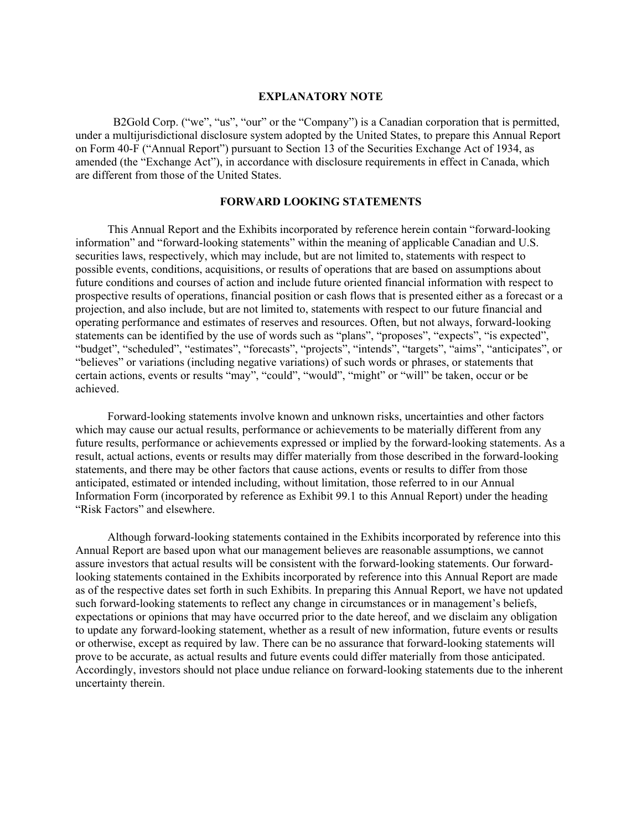#### **EXPLANATORY NOTE**

B2Gold Corp. ("we", "us", "our" or the "Company") is a Canadian corporation that is permitted, under a multijurisdictional disclosure system adopted by the United States, to prepare this Annual Report on Form 40-F ("Annual Report") pursuant to Section 13 of the Securities Exchange Act of 1934, as amended (the "Exchange Act"), in accordance with disclosure requirements in effect in Canada, which are different from those of the United States.

### **FORWARD LOOKING STATEMENTS**

This Annual Report and the Exhibits incorporated by reference herein contain "forward-looking information" and "forward-looking statements" within the meaning of applicable Canadian and U.S. securities laws, respectively, which may include, but are not limited to, statements with respect to possible events, conditions, acquisitions, or results of operations that are based on assumptions about future conditions and courses of action and include future oriented financial information with respect to prospective results of operations, financial position or cash flows that is presented either as a forecast or a projection, and also include, but are not limited to, statements with respect to our future financial and operating performance and estimates of reserves and resources. Often, but not always, forward-looking statements can be identified by the use of words such as "plans", "proposes", "expects", "is expected", "budget", "scheduled", "estimates", "forecasts", "projects", "intends", "targets", "aims", "anticipates", or "believes" or variations (including negative variations) of such words or phrases, or statements that certain actions, events or results "may", "could", "would", "might" or "will" be taken, occur or be achieved.

Forward-looking statements involve known and unknown risks, uncertainties and other factors which may cause our actual results, performance or achievements to be materially different from any future results, performance or achievements expressed or implied by the forward-looking statements. As a result, actual actions, events or results may differ materially from those described in the forward-looking statements, and there may be other factors that cause actions, events or results to differ from those anticipated, estimated or intended including, without limitation, those referred to in our Annual Information Form (incorporated by reference as Exhibit 99.1 to this Annual Report) under the heading "Risk Factors" and elsewhere.

Although forward-looking statements contained in the Exhibits incorporated by reference into this Annual Report are based upon what our management believes are reasonable assumptions, we cannot assure investors that actual results will be consistent with the forward-looking statements. Our forwardlooking statements contained in the Exhibits incorporated by reference into this Annual Report are made as of the respective dates set forth in such Exhibits. In preparing this Annual Report, we have not updated such forward-looking statements to reflect any change in circumstances or in management's beliefs, expectations or opinions that may have occurred prior to the date hereof, and we disclaim any obligation to update any forward-looking statement, whether as a result of new information, future events or results or otherwise, except as required by law. There can be no assurance that forward-looking statements will prove to be accurate, as actual results and future events could differ materially from those anticipated. Accordingly, investors should not place undue reliance on forward-looking statements due to the inherent uncertainty therein.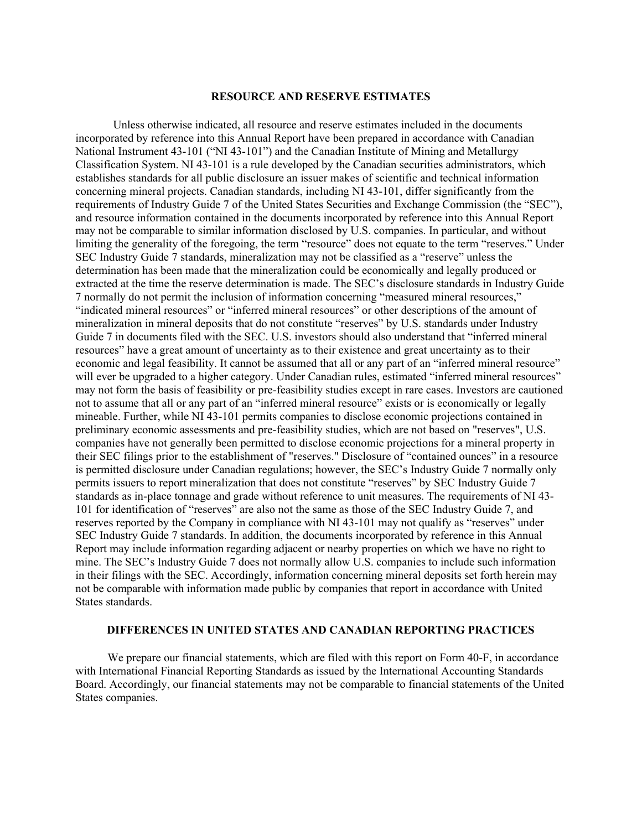#### **RESOURCE AND RESERVE ESTIMATES**

 Unless otherwise indicated, all resource and reserve estimates included in the documents incorporated by reference into this Annual Report have been prepared in accordance with Canadian National Instrument 43-101 ("NI 43-101") and the Canadian Institute of Mining and Metallurgy Classification System. NI 43-101 is a rule developed by the Canadian securities administrators, which establishes standards for all public disclosure an issuer makes of scientific and technical information concerning mineral projects. Canadian standards, including NI 43-101, differ significantly from the requirements of Industry Guide 7 of the United States Securities and Exchange Commission (the "SEC"), and resource information contained in the documents incorporated by reference into this Annual Report may not be comparable to similar information disclosed by U.S. companies. In particular, and without limiting the generality of the foregoing, the term "resource" does not equate to the term "reserves." Under SEC Industry Guide 7 standards, mineralization may not be classified as a "reserve" unless the determination has been made that the mineralization could be economically and legally produced or extracted at the time the reserve determination is made. The SEC's disclosure standards in Industry Guide 7 normally do not permit the inclusion of information concerning "measured mineral resources," "indicated mineral resources" or "inferred mineral resources" or other descriptions of the amount of mineralization in mineral deposits that do not constitute "reserves" by U.S. standards under Industry Guide 7 in documents filed with the SEC. U.S. investors should also understand that "inferred mineral resources" have a great amount of uncertainty as to their existence and great uncertainty as to their economic and legal feasibility. It cannot be assumed that all or any part of an "inferred mineral resource" will ever be upgraded to a higher category. Under Canadian rules, estimated "inferred mineral resources" may not form the basis of feasibility or pre-feasibility studies except in rare cases. Investors are cautioned not to assume that all or any part of an "inferred mineral resource" exists or is economically or legally mineable. Further, while NI 43-101 permits companies to disclose economic projections contained in preliminary economic assessments and pre-feasibility studies, which are not based on "reserves", U.S. companies have not generally been permitted to disclose economic projections for a mineral property in their SEC filings prior to the establishment of "reserves." Disclosure of "contained ounces" in a resource is permitted disclosure under Canadian regulations; however, the SEC's Industry Guide 7 normally only permits issuers to report mineralization that does not constitute "reserves" by SEC Industry Guide 7 standards as in-place tonnage and grade without reference to unit measures. The requirements of NI 43- 101 for identification of "reserves" are also not the same as those of the SEC Industry Guide 7, and reserves reported by the Company in compliance with NI 43-101 may not qualify as "reserves" under SEC Industry Guide 7 standards. In addition, the documents incorporated by reference in this Annual Report may include information regarding adjacent or nearby properties on which we have no right to mine. The SEC's Industry Guide 7 does not normally allow U.S. companies to include such information in their filings with the SEC. Accordingly, information concerning mineral deposits set forth herein may not be comparable with information made public by companies that report in accordance with United States standards.

### **DIFFERENCES IN UNITED STATES AND CANADIAN REPORTING PRACTICES**

We prepare our financial statements, which are filed with this report on Form 40-F, in accordance with International Financial Reporting Standards as issued by the International Accounting Standards Board. Accordingly, our financial statements may not be comparable to financial statements of the United States companies.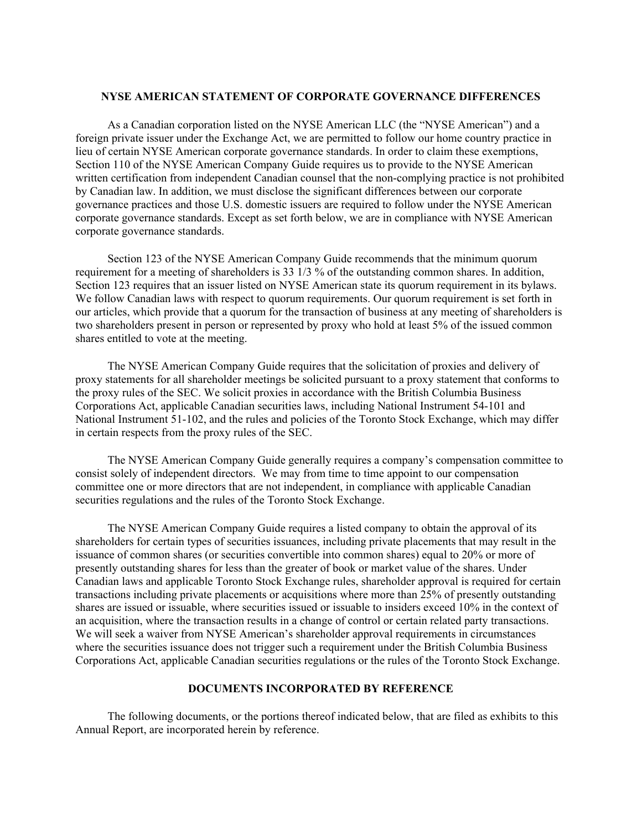#### **NYSE AMERICAN STATEMENT OF CORPORATE GOVERNANCE DIFFERENCES**

As a Canadian corporation listed on the NYSE American LLC (the "NYSE American") and a foreign private issuer under the Exchange Act, we are permitted to follow our home country practice in lieu of certain NYSE American corporate governance standards. In order to claim these exemptions, Section 110 of the NYSE American Company Guide requires us to provide to the NYSE American written certification from independent Canadian counsel that the non-complying practice is not prohibited by Canadian law. In addition, we must disclose the significant differences between our corporate governance practices and those U.S. domestic issuers are required to follow under the NYSE American corporate governance standards. Except as set forth below, we are in compliance with NYSE American corporate governance standards.

Section 123 of the NYSE American Company Guide recommends that the minimum quorum requirement for a meeting of shareholders is 33 1/3 % of the outstanding common shares. In addition, Section 123 requires that an issuer listed on NYSE American state its quorum requirement in its bylaws. We follow Canadian laws with respect to quorum requirements. Our quorum requirement is set forth in our articles, which provide that a quorum for the transaction of business at any meeting of shareholders is two shareholders present in person or represented by proxy who hold at least 5% of the issued common shares entitled to vote at the meeting.

The NYSE American Company Guide requires that the solicitation of proxies and delivery of proxy statements for all shareholder meetings be solicited pursuant to a proxy statement that conforms to the proxy rules of the SEC. We solicit proxies in accordance with the British Columbia Business Corporations Act, applicable Canadian securities laws, including National Instrument 54-101 and National Instrument 51-102, and the rules and policies of the Toronto Stock Exchange, which may differ in certain respects from the proxy rules of the SEC.

The NYSE American Company Guide generally requires a company's compensation committee to consist solely of independent directors. We may from time to time appoint to our compensation committee one or more directors that are not independent, in compliance with applicable Canadian securities regulations and the rules of the Toronto Stock Exchange.

The NYSE American Company Guide requires a listed company to obtain the approval of its shareholders for certain types of securities issuances, including private placements that may result in the issuance of common shares (or securities convertible into common shares) equal to 20% or more of presently outstanding shares for less than the greater of book or market value of the shares. Under Canadian laws and applicable Toronto Stock Exchange rules, shareholder approval is required for certain transactions including private placements or acquisitions where more than 25% of presently outstanding shares are issued or issuable, where securities issued or issuable to insiders exceed 10% in the context of an acquisition, where the transaction results in a change of control or certain related party transactions. We will seek a waiver from NYSE American's shareholder approval requirements in circumstances where the securities issuance does not trigger such a requirement under the British Columbia Business Corporations Act, applicable Canadian securities regulations or the rules of the Toronto Stock Exchange.

## **DOCUMENTS INCORPORATED BY REFERENCE**

The following documents, or the portions thereof indicated below, that are filed as exhibits to this Annual Report, are incorporated herein by reference.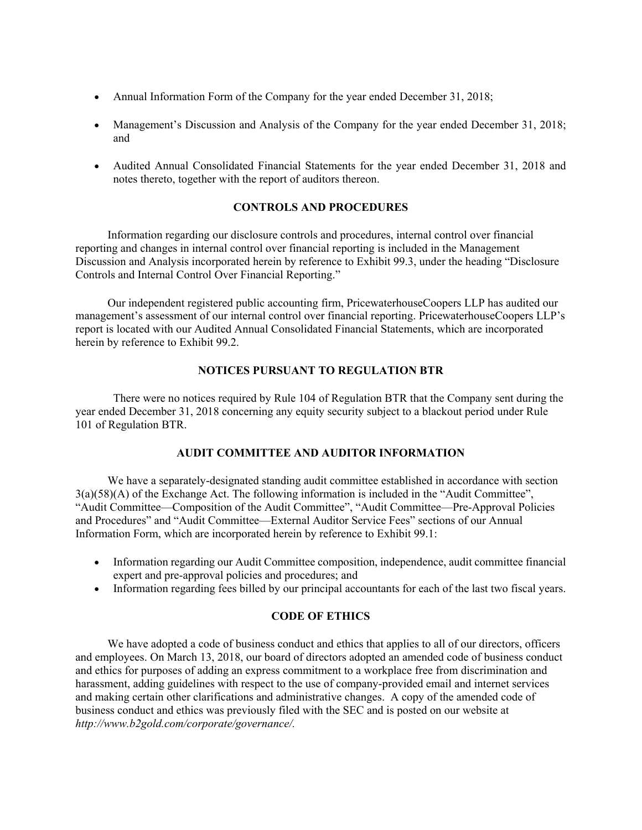- Annual Information Form of the Company for the year ended December 31, 2018;
- Management's Discussion and Analysis of the Company for the year ended December 31, 2018; and
- Audited Annual Consolidated Financial Statements for the year ended December 31, 2018 and notes thereto, together with the report of auditors thereon.

## **CONTROLS AND PROCEDURES**

Information regarding our disclosure controls and procedures, internal control over financial reporting and changes in internal control over financial reporting is included in the Management Discussion and Analysis incorporated herein by reference to Exhibit 99.3, under the heading "Disclosure Controls and Internal Control Over Financial Reporting."

Our independent registered public accounting firm, PricewaterhouseCoopers LLP has audited our management's assessment of our internal control over financial reporting. PricewaterhouseCoopers LLP's report is located with our Audited Annual Consolidated Financial Statements, which are incorporated herein by reference to Exhibit 99.2.

## **NOTICES PURSUANT TO REGULATION BTR**

There were no notices required by Rule 104 of Regulation BTR that the Company sent during the year ended December 31, 2018 concerning any equity security subject to a blackout period under Rule 101 of Regulation BTR.

## **AUDIT COMMITTEE AND AUDITOR INFORMATION**

We have a separately-designated standing audit committee established in accordance with section 3(a)(58)(A) of the Exchange Act. The following information is included in the "Audit Committee", "Audit Committee—Composition of the Audit Committee", "Audit Committee—Pre-Approval Policies and Procedures" and "Audit Committee—External Auditor Service Fees" sections of our Annual Information Form, which are incorporated herein by reference to Exhibit 99.1:

- Information regarding our Audit Committee composition, independence, audit committee financial expert and pre-approval policies and procedures; and
- Information regarding fees billed by our principal accountants for each of the last two fiscal years.

## **CODE OF ETHICS**

We have adopted a code of business conduct and ethics that applies to all of our directors, officers and employees. On March 13, 2018, our board of directors adopted an amended code of business conduct and ethics for purposes of adding an express commitment to a workplace free from discrimination and harassment, adding guidelines with respect to the use of company-provided email and internet services and making certain other clarifications and administrative changes. A copy of the amended code of business conduct and ethics was previously filed with the SEC and is posted on our website at *http://www.b2gold.com/corporate/governance/.*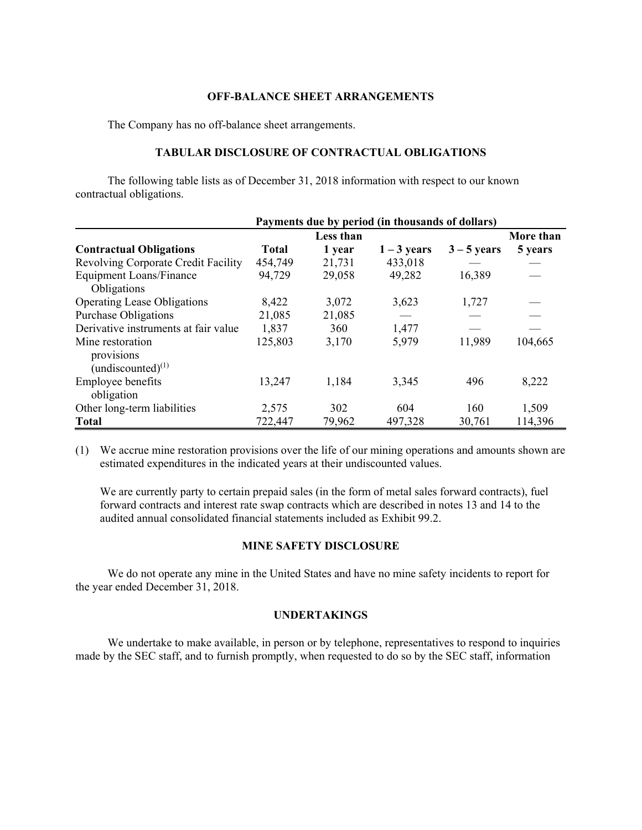#### **OFF-BALANCE SHEET ARRANGEMENTS**

The Company has no off-balance sheet arrangements.

### **TABULAR DISCLOSURE OF CONTRACTUAL OBLIGATIONS**

The following table lists as of December 31, 2018 information with respect to our known contractual obligations.

|                                      | Payments due by period (in thousands of dollars) |        |               |               |           |
|--------------------------------------|--------------------------------------------------|--------|---------------|---------------|-----------|
|                                      | Less than                                        |        |               |               | More than |
| <b>Contractual Obligations</b>       | Total                                            | 1 year | $1 - 3$ years | $3 - 5$ years | 5 years   |
| Revolving Corporate Credit Facility  | 454,749                                          | 21,731 | 433,018       |               |           |
| <b>Equipment Loans/Finance</b>       | 94,729                                           | 29,058 | 49,282        | 16,389        |           |
| Obligations                          |                                                  |        |               |               |           |
| <b>Operating Lease Obligations</b>   | 8,422                                            | 3,072  | 3,623         | 1,727         |           |
| <b>Purchase Obligations</b>          | 21,085                                           | 21,085 |               |               |           |
| Derivative instruments at fair value | 1,837                                            | 360    | 1,477         |               |           |
| Mine restoration                     | 125,803                                          | 3,170  | 5,979         | 11,989        | 104,665   |
| provisions                           |                                                  |        |               |               |           |
| (undiscounted) $^{(1)}$              |                                                  |        |               |               |           |
| Employee benefits                    | 13,247                                           | 1,184  | 3,345         | 496           | 8,222     |
| obligation                           |                                                  |        |               |               |           |
| Other long-term liabilities          | 2,575                                            | 302    | 604           | 160           | 1,509     |
| <b>Total</b>                         | 722,447                                          | 79,962 | 497,328       | 30,761        | 114,396   |

(1) We accrue mine restoration provisions over the life of our mining operations and amounts shown are estimated expenditures in the indicated years at their undiscounted values.

We are currently party to certain prepaid sales (in the form of metal sales forward contracts), fuel forward contracts and interest rate swap contracts which are described in notes 13 and 14 to the audited annual consolidated financial statements included as Exhibit 99.2.

#### **MINE SAFETY DISCLOSURE**

We do not operate any mine in the United States and have no mine safety incidents to report for the year ended December 31, 2018.

### **UNDERTAKINGS**

We undertake to make available, in person or by telephone, representatives to respond to inquiries made by the SEC staff, and to furnish promptly, when requested to do so by the SEC staff, information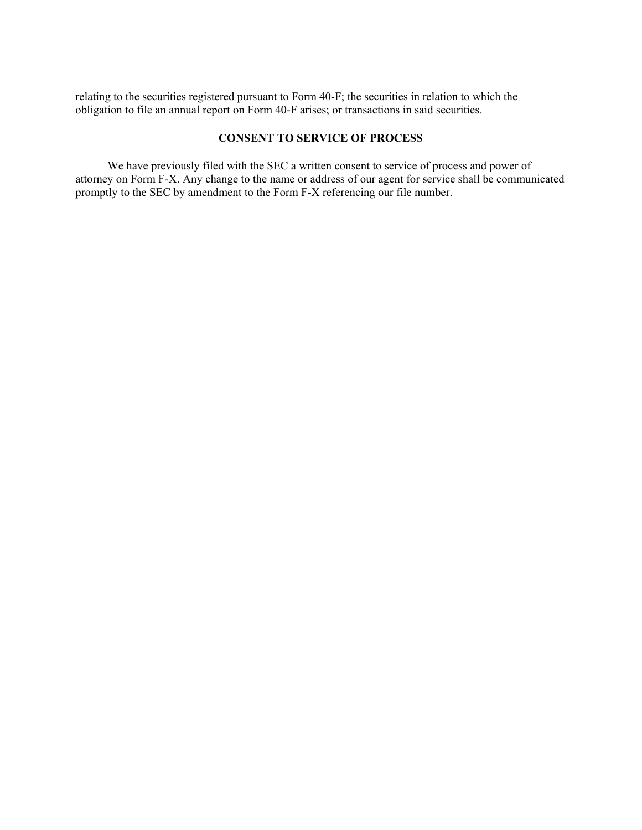relating to the securities registered pursuant to Form 40-F; the securities in relation to which the obligation to file an annual report on Form 40-F arises; or transactions in said securities.

## **CONSENT TO SERVICE OF PROCESS**

We have previously filed with the SEC a written consent to service of process and power of attorney on Form F-X. Any change to the name or address of our agent for service shall be communicated promptly to the SEC by amendment to the Form F-X referencing our file number.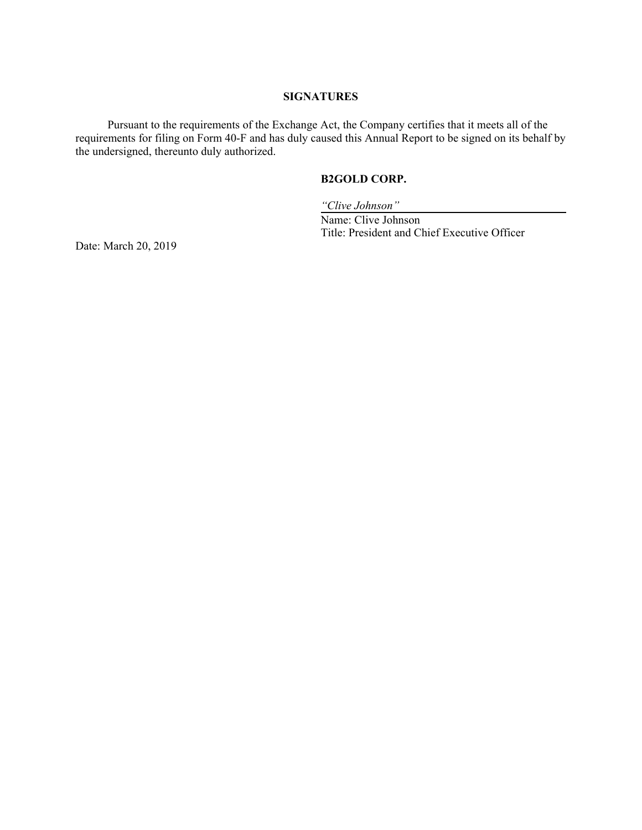#### **SIGNATURES**

Pursuant to the requirements of the Exchange Act, the Company certifies that it meets all of the requirements for filing on Form 40-F and has duly caused this Annual Report to be signed on its behalf by the undersigned, thereunto duly authorized.

## **B2GOLD CORP.**

*"Clive Johnson"* 

 Name: Clive Johnson Title: President and Chief Executive Officer

Date: March 20, 2019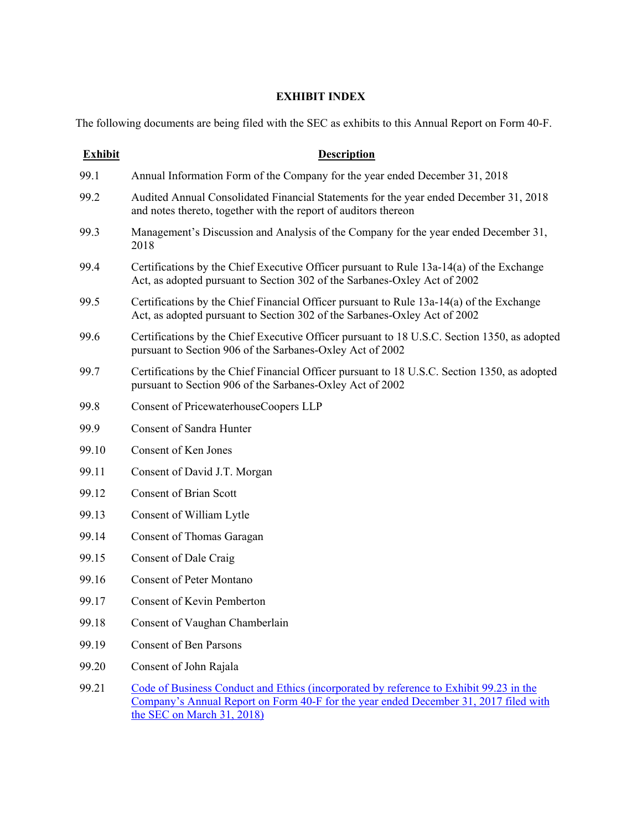## **EXHIBIT INDEX**

The following documents are being filed with the SEC as exhibits to this Annual Report on Form 40-F.

| <b>Exhibit</b> | <b>Description</b>                                                                                                                                                                                           |
|----------------|--------------------------------------------------------------------------------------------------------------------------------------------------------------------------------------------------------------|
| 99.1           | Annual Information Form of the Company for the year ended December 31, 2018                                                                                                                                  |
| 99.2           | Audited Annual Consolidated Financial Statements for the year ended December 31, 2018<br>and notes thereto, together with the report of auditors thereon                                                     |
| 99.3           | Management's Discussion and Analysis of the Company for the year ended December 31,<br>2018                                                                                                                  |
| 99.4           | Certifications by the Chief Executive Officer pursuant to Rule 13a-14(a) of the Exchange<br>Act, as adopted pursuant to Section 302 of the Sarbanes-Oxley Act of 2002                                        |
| 99.5           | Certifications by the Chief Financial Officer pursuant to Rule 13a-14(a) of the Exchange<br>Act, as adopted pursuant to Section 302 of the Sarbanes-Oxley Act of 2002                                        |
| 99.6           | Certifications by the Chief Executive Officer pursuant to 18 U.S.C. Section 1350, as adopted<br>pursuant to Section 906 of the Sarbanes-Oxley Act of 2002                                                    |
| 99.7           | Certifications by the Chief Financial Officer pursuant to 18 U.S.C. Section 1350, as adopted<br>pursuant to Section 906 of the Sarbanes-Oxley Act of 2002                                                    |
| 99.8           | Consent of PricewaterhouseCoopers LLP                                                                                                                                                                        |
| 99.9           | <b>Consent of Sandra Hunter</b>                                                                                                                                                                              |
| 99.10          | Consent of Ken Jones                                                                                                                                                                                         |
| 99.11          | Consent of David J.T. Morgan                                                                                                                                                                                 |
| 99.12          | <b>Consent of Brian Scott</b>                                                                                                                                                                                |
| 99.13          | Consent of William Lytle                                                                                                                                                                                     |
| 99.14          | Consent of Thomas Garagan                                                                                                                                                                                    |
| 99.15          | Consent of Dale Craig                                                                                                                                                                                        |
| 99.16          | <b>Consent of Peter Montano</b>                                                                                                                                                                              |
| 99.17          | <b>Consent of Kevin Pemberton</b>                                                                                                                                                                            |
| 99.18          | Consent of Vaughan Chamberlain                                                                                                                                                                               |
| 99.19          | <b>Consent of Ben Parsons</b>                                                                                                                                                                                |
| 99.20          | Consent of John Rajala                                                                                                                                                                                       |
| 99.21          | Code of Business Conduct and Ethics (incorporated by reference to Exhibit 99.23 in the<br>Company's Annual Report on Form 40-F for the year ended December 31, 2017 filed with<br>the SEC on March 31, 2018) |